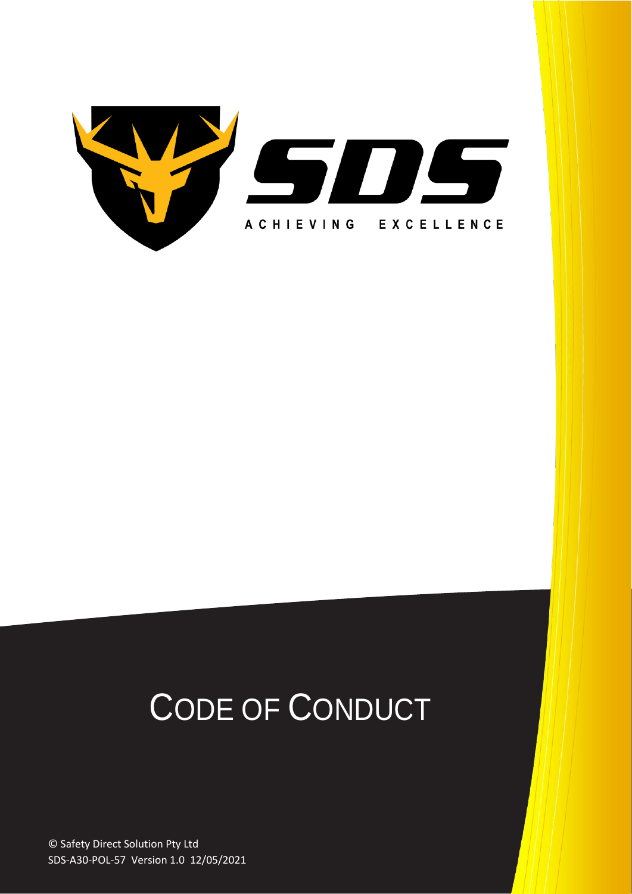

# CODE OF CONDUCT

© Safety Direct Solution Pty Ltd SDS-A30-POL-57 Version 1.0 12/05/2021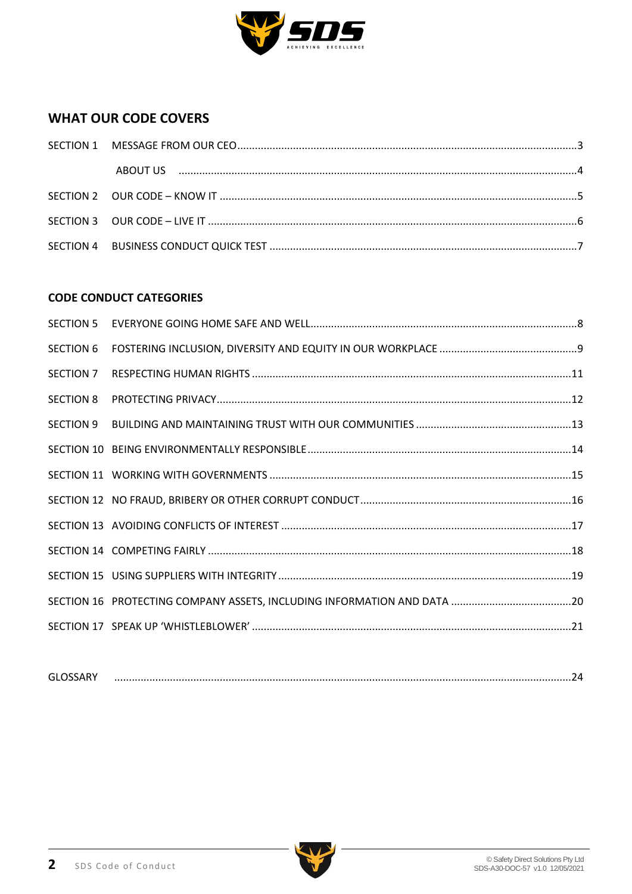

# **WHAT OUR CODE COVERS**

# **CODE CONDUCT CATEGORIES**

| <b>SECTION 6</b> |  |
|------------------|--|
| SECTION 7        |  |
| <b>SECTION 8</b> |  |
|                  |  |
|                  |  |
|                  |  |
|                  |  |
|                  |  |
|                  |  |
|                  |  |
|                  |  |
|                  |  |
|                  |  |

| $\sim$<br>۰.<br>____ |  | ,,, |
|----------------------|--|-----|
|----------------------|--|-----|

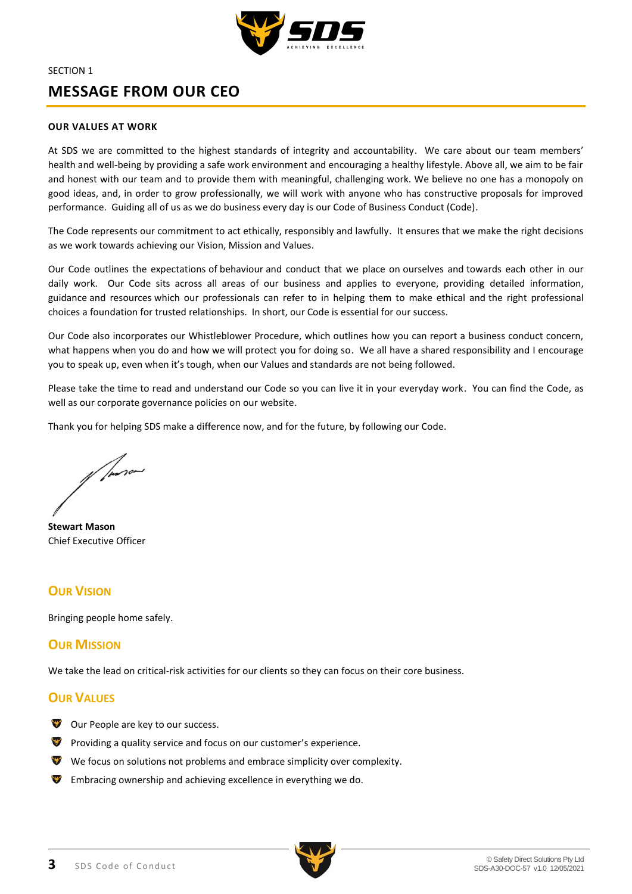

# <span id="page-2-0"></span>SECTION 1 **MESSAGE FROM OUR CEO**

#### **OUR VALUES AT WORK**

At SDS we are committed to the highest standards of integrity and accountability. We care about our team members' health and well-being by providing a safe work environment and encouraging a healthy lifestyle. Above all, we aim to be fair and honest with our team and to provide them with meaningful, challenging work. We believe no one has a monopoly on good ideas, and, in order to grow professionally, we will work with anyone who has constructive proposals for improved performance. Guiding all of us as we do business every day is our Code of Business Conduct (Code).

The Code represents our commitment to act ethically, responsibly and lawfully. It ensures that we make the right decisions as we work towards achieving our Vision, Mission and Values.

Our Code outlines the expectations of behaviour and conduct that we place on ourselves and towards each other in our daily work. Our Code sits across all areas of our business and applies to everyone, providing detailed information, guidance and resources which our professionals can refer to in helping them to make ethical and the right professional choices a foundation for trusted relationships. In short, our Code is essential for our success.

Our Code also incorporates our Whistleblower Procedure, which outlines how you can report a business conduct concern, what happens when you do and how we will protect you for doing so. We all have a shared responsibility and I encourage you to speak up, even when it's tough, when our Values and standards are not being followed.

Please take the time to read and understand our Code so you can live it in your everyday work. You can find the Code, as well as our corporate governance policies on our website.

Thank you for helping SDS make a difference now, and for the future, by following our Code.

of former

**Stewart Mason** Chief Executive Officer

# **OUR VISION**

Bringing people home safely.

# **OUR MISSION**

We take the lead on critical-risk activities for our clients so they can focus on their core business.

# **OUR VALUES**

- Our People are key to our success.
- **P** Providing a quality service and focus on our customer's experience.
- We focus on solutions not problems and embrace simplicity over complexity.
- Embracing ownership and achieving excellence in everything we do.

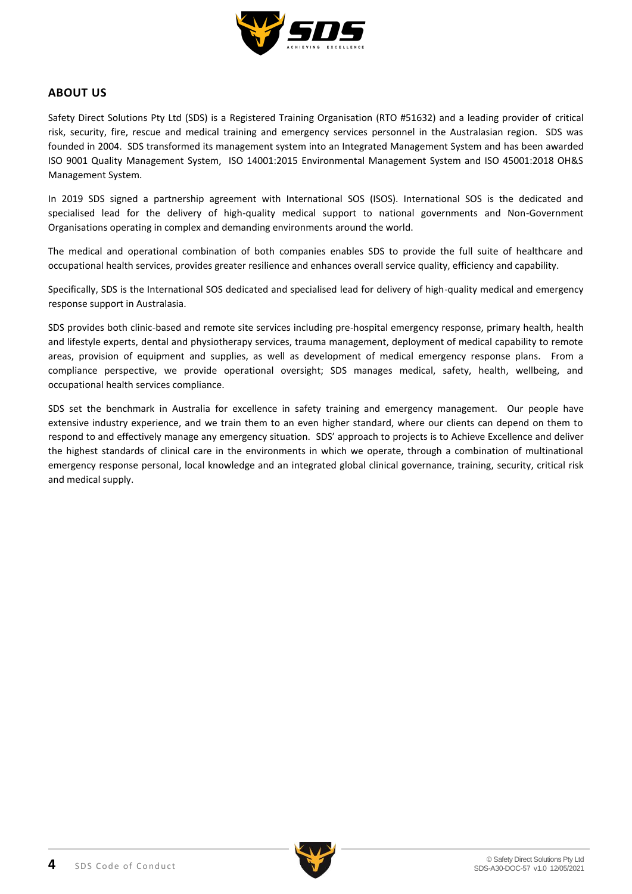

# <span id="page-3-0"></span>**ABOUT US**

Safety Direct Solutions Pty Ltd (SDS) is a Registered Training Organisation (RTO #51632) and a leading provider of critical risk, security, fire, rescue and medical training and emergency services personnel in the Australasian region. SDS was founded in 2004. SDS transformed its management system into an Integrated Management System and has been awarded ISO 9001 Quality Management System, ISO 14001:2015 Environmental Management System and ISO 45001:2018 OH&S Management System.

In 2019 SDS signed a partnership agreement with International SOS (ISOS). International SOS is the dedicated and specialised lead for the delivery of high-quality medical support to national governments and Non-Government Organisations operating in complex and demanding environments around the world.

The medical and operational combination of both companies enables SDS to provide the full suite of healthcare and occupational health services, provides greater resilience and enhances overall service quality, efficiency and capability.

Specifically, SDS is the International SOS dedicated and specialised lead for delivery of high-quality medical and emergency response support in Australasia.

SDS provides both clinic-based and remote site services including pre-hospital emergency response, primary health, health and lifestyle experts, dental and physiotherapy services, trauma management, deployment of medical capability to remote areas, provision of equipment and supplies, as well as development of medical emergency response plans. From a compliance perspective, we provide operational oversight; SDS manages medical, safety, health, wellbeing, and occupational health services compliance.

SDS set the benchmark in Australia for excellence in safety training and emergency management. Our people have extensive industry experience, and we train them to an even higher standard, where our clients can depend on them to respond to and effectively manage any emergency situation. SDS' approach to projects is to Achieve Excellence and deliver the highest standards of clinical care in the environments in which we operate, through a combination of multinational emergency response personal, local knowledge and an integrated global clinical governance, training, security, critical risk and medical supply.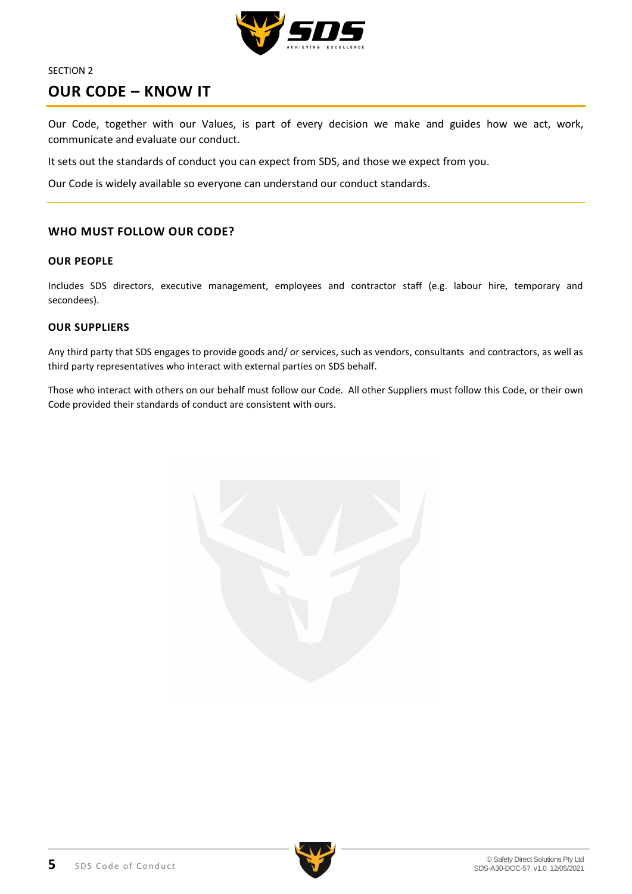

# <span id="page-4-0"></span>**OUR CODE – KNOW IT**

Our Code, together with our Values, is part of every decision we make and guides how we act, work, communicate and evaluate our conduct.

It sets out the standards of conduct you can expect from SDS, and those we expect from you.

Our Code is widely available so everyone can understand our conduct standards.

# **WHO MUST FOLLOW OUR CODE?**

# **OUR PEOPLE**

Includes SDS directors, executive management, employees and contractor staff (e.g. labour hire, temporary and secondees).

### **OUR SUPPLIERS**

Any third party that SDS engages to provide goods and/ or services, such as vendors, consultants and contractors, as well as third party representatives who interact with external parties on SDS behalf.

Those who interact with others on our behalf must follow our Code. All other Suppliers must follow this Code, or their own Code provided their standards of conduct are consistent with ours.



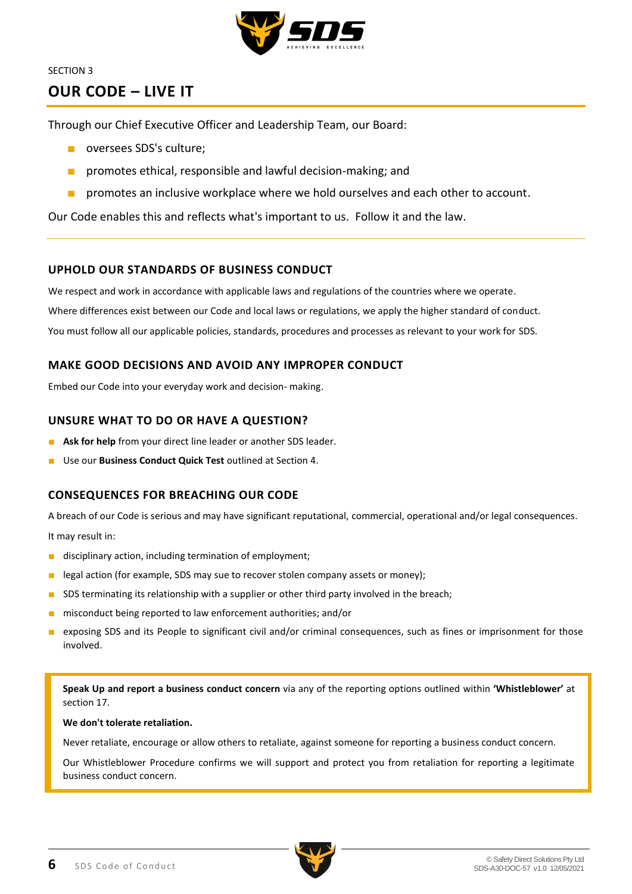

# <span id="page-5-0"></span>**OUR CODE – LIVE IT**

Through our Chief Executive Officer and Leadership Team, our Board:

- oversees SDS's culture:
- promotes ethical, responsible and lawful decision-making; and
- **■** promotes an inclusive workplace where we hold ourselves and each other to account.

Our Code enables this and reflects what's important to us. Follow it and the law.

# **UPHOLD OUR STANDARDS OF BUSINESS CONDUCT**

We respect and work in accordance with applicable laws and regulations of the countries where we operate. Where differences exist between our Code and local laws or regulations, we apply the higher standard of conduct. You must follow all our applicable policies, standards, procedures and processes as relevant to your work for SDS.

# **MAKE GOOD DECISIONS AND AVOID ANY IMPROPER CONDUCT**

Embed our Code into your everyday work and decision- making.

# **UNSURE WHAT TO DO OR HAVE A QUESTION?**

- **Ask for help** from your direct line leader or another SDS leader.
- Use our **Business Conduct Quick Test** outlined at Section 4.

# **CONSEQUENCES FOR BREACHING OUR CODE**

A breach of our Code is serious and may have significant reputational, commercial, operational and/or legal consequences. It may result in:

- disciplinary action, including termination of employment;
- legal action (for example, SDS may sue to recover stolen company assets or money);
- SDS terminating its relationship with a supplier or other third party involved in the breach;
- misconduct being reported to law enforcement authorities; and/or
- exposing SDS and its People to significant civil and/or criminal consequences, such as fines or imprisonment for those involved.

**Speak Up and report a business conduct concern** via any of the reporting options outlined within **'Whistleblower'** at section 17.

### **We don't tolerate retaliation.**

Never retaliate, encourage or allow others to retaliate, against someone for reporting a business conduct concern.

Our Whistleblower Procedure confirms we will support and protect you from retaliation for reporting a legitimate business conduct concern.

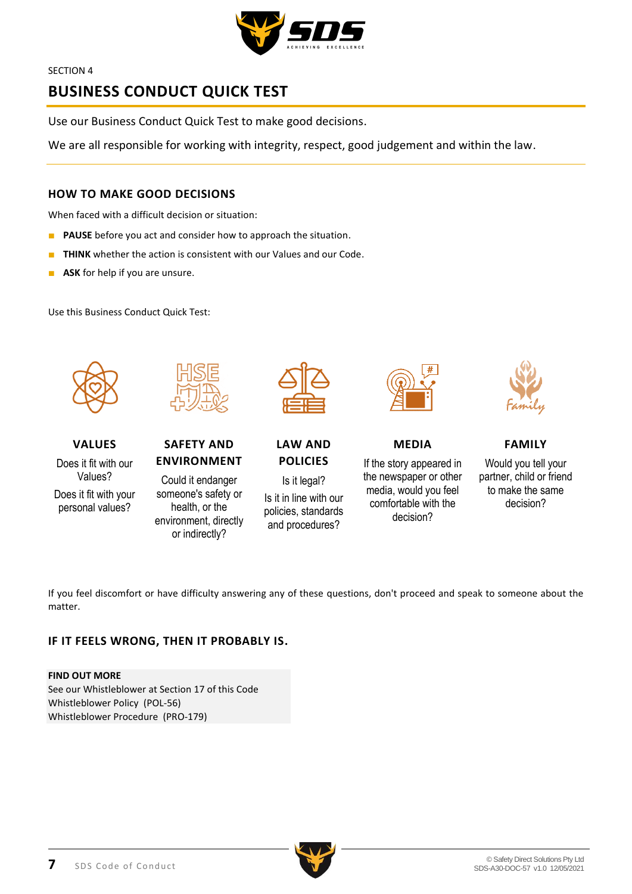

# <span id="page-6-0"></span>**BUSINESS CONDUCT QUICK TEST**

Use our Business Conduct Quick Test to make good decisions.

We are all responsible for working with integrity, respect, good judgement and within the law.

# **HOW TO MAKE GOOD DECISIONS**

When faced with a difficult decision or situation:

- **PAUSE** before you act and consider how to approach the situation.
- **THINK** whether the action is consistent with our Values and our Code.
- **ASK** for help if you are unsure.

Use this Business Conduct Quick Test:



**VALUES** Does it fit with our

Values? Does it fit with your personal values?



**SAFETY AND ENVIRONMENT**

Could it endanger someone's safety or health, or the environment, directly or indirectly?



**LAW AND POLICIES**

Is it legal? Is it in line with our policies, standards and procedures?

**MEDIA**

If the story appeared in the newspaper or other media, would you feel comfortable with the decision?



**FAMILY**

Would you tell your partner, child or friend to make the same decision?

If you feel discomfort or have difficulty answering any of these questions, don't proceed and speak to someone about the matter.

# **IF IT FEELS WRONG, THEN IT PROBABLY IS.**

### **FIND OUT MORE**

See our Whistleblower at Section 17 of this Code Whistleblower Policy (POL-56) Whistleblower Procedure (PRO-179)

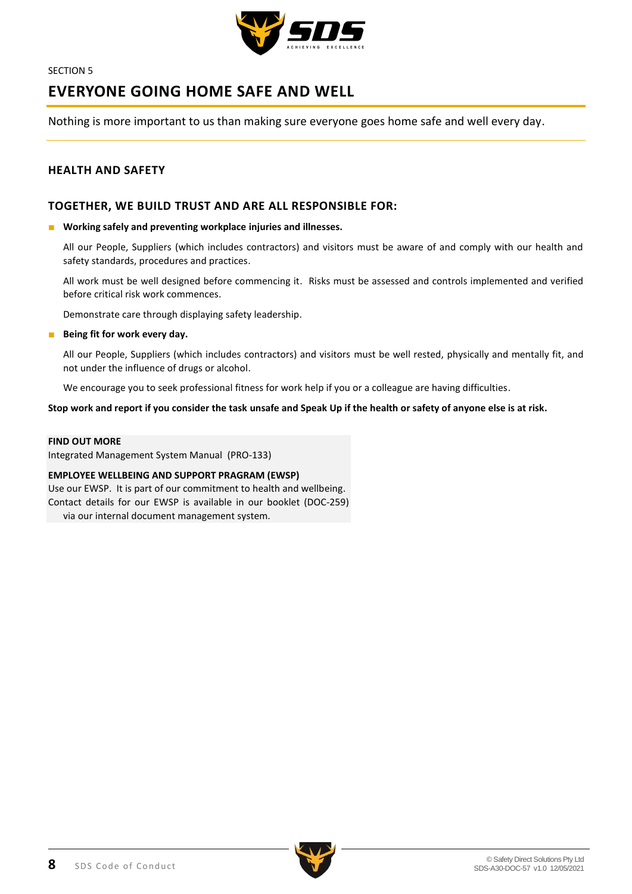

# <span id="page-7-0"></span>**EVERYONE GOING HOME SAFE AND WELL**

Nothing is more important to us than making sure everyone goes home safe and well every day.

### **HEALTH AND SAFETY**

### **TOGETHER, WE BUILD TRUST AND ARE ALL RESPONSIBLE FOR:**

#### ■ Working safely and preventing workplace injuries and illnesses.

All our People, Suppliers (which includes contractors) and visitors must be aware of and comply with our health and safety standards, procedures and practices.

All work must be well designed before commencing it. Risks must be assessed and controls implemented and verified before critical risk work commences.

Demonstrate care through displaying safety leadership.

#### ■ **Being fit for work every day.**

All our People, Suppliers (which includes contractors) and visitors must be well rested, physically and mentally fit, and not under the influence of drugs or alcohol.

We encourage you to seek professional fitness for work help if you or a colleague are having difficulties.

**Stop work and report if you consider the task unsafe and Speak Up if the health or safety of anyone else is at risk.** 

#### **FIND OUT MORE**

Integrated Management System Manual (PRO-133)

### **EMPLOYEE WELLBEING AND SUPPORT PRAGRAM (EWSP)**

Use our EWSP. It is part of our commitment to health and wellbeing. Contact details for our EWSP is available in our booklet (DOC-259)

via our internal document management system.

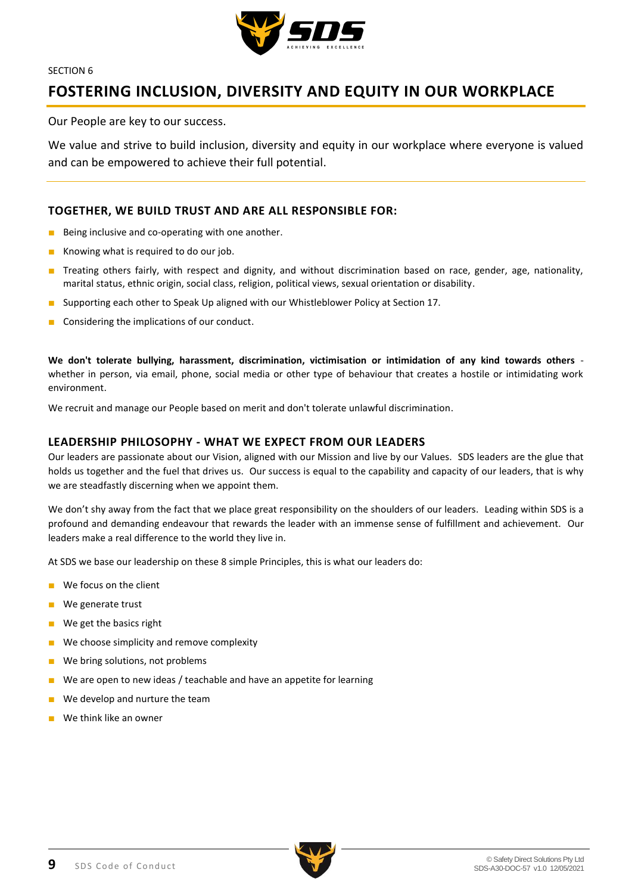

# <span id="page-8-0"></span>**FOSTERING INCLUSION, DIVERSITY AND EQUITY IN OUR WORKPLACE**

Our People are key to our success.

We value and strive to build inclusion, diversity and equity in our workplace where everyone is valued and can be empowered to achieve their full potential.

# **TOGETHER, WE BUILD TRUST AND ARE ALL RESPONSIBLE FOR:**

- Being inclusive and co-operating with one another.
- Knowing what is required to do our job.
- Treating others fairly, with respect and dignity, and without discrimination based on race, gender, age, nationality, marital status, ethnic origin, social class, religion, political views, sexual orientation or disability.
- Supporting each other to Speak Up aligned with our Whistleblower Policy at Section 17.
- Considering the implications of our conduct.

**We don't tolerate bullying, harassment, discrimination, victimisation or intimidation of any kind towards others** whether in person, via email, phone, social media or other type of behaviour that creates a hostile or intimidating work environment.

We recruit and manage our People based on merit and don't tolerate unlawful discrimination.

## **LEADERSHIP PHILOSOPHY - WHAT WE EXPECT FROM OUR LEADERS**

Our leaders are passionate about our Vision, aligned with our Mission and live by our Values. SDS leaders are the glue that holds us together and the fuel that drives us. Our success is equal to the capability and capacity of our leaders, that is why we are steadfastly discerning when we appoint them.

We don't shy away from the fact that we place great responsibility on the shoulders of our leaders. Leading within SDS is a profound and demanding endeavour that rewards the leader with an immense sense of fulfillment and achievement. Our leaders make a real difference to the world they live in.

At SDS we base our leadership on these 8 simple Principles, this is what our leaders do:

- We focus on the client
- We generate trust
- We get the basics right
- We choose simplicity and remove complexity
- We bring solutions, not problems
- We are open to new ideas / teachable and have an appetite for learning
- We develop and nurture the team
- We think like an owner

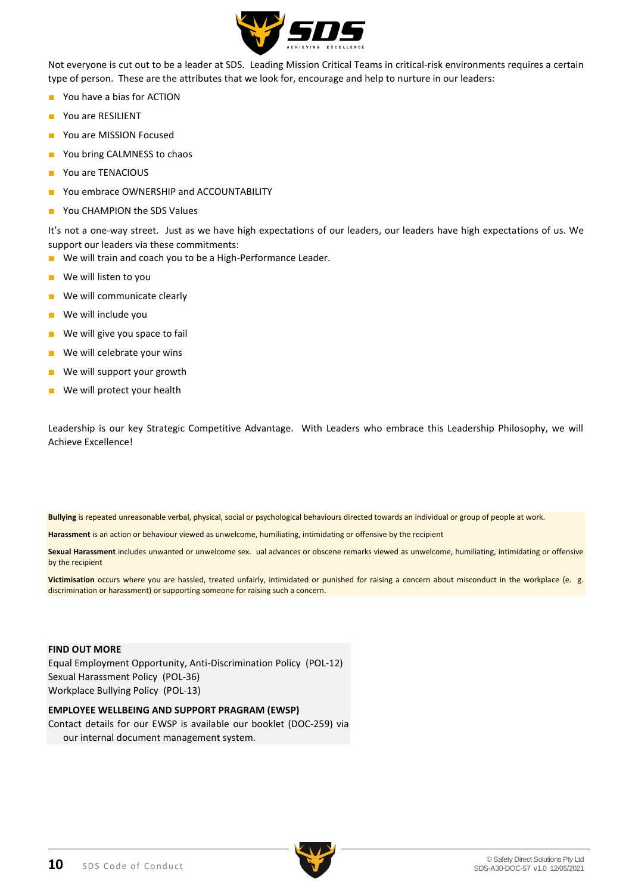

Not everyone is cut out to be a leader at SDS. Leading Mission Critical Teams in critical-risk environments requires a certain type of person. These are the attributes that we look for, encourage and help to nurture in our leaders:

- You have a bias for ACTION
- You are RESILIENT
- You are MISSION Focused
- You bring CALMNESS to chaos
- You are TENACIOUS
- You embrace OWNERSHIP and ACCOUNTABILITY
- You CHAMPION the SDS Values

It's not a one-way street. Just as we have high expectations of our leaders, our leaders have high expectations of us. We support our leaders via these commitments:

- We will train and coach you to be a High-Performance Leader.
- We will listen to you
- We will communicate clearly
- We will include you
- We will give you space to fail
- We will celebrate your wins
- We will support your growth
- We will protect your health

Leadership is our key Strategic Competitive Advantage. With Leaders who embrace this Leadership Philosophy, we will Achieve Excellence!

**Bullying** is repeated unreasonable verbal, physical, social or psychological behaviours directed towards an individual or group of people at work.

**Harassment** is an action or behaviour viewed as unwelcome, humiliating, intimidating or offensive by the recipient

**Sexual Harassment** includes unwanted or unwelcome sex. ual advances or obscene remarks viewed as unwelcome, humiliating, intimidating or offensive by the recipient

**Victimisation** occurs where you are hassled, treated unfairly, intimidated or punished for raising a concern about misconduct in the workplace (e. g. discrimination or harassment) or supporting someone for raising such a concern.

### **FIND OUT MORE**

Equal Employment Opportunity, Anti-Discrimination Policy (POL-12) Sexual Harassment Policy (POL-36) Workplace Bullying Policy (POL-13)

### **EMPLOYEE WELLBEING AND SUPPORT PRAGRAM (EWSP)**

Contact details for our EWSP is available our booklet (DOC-259) via our internal document management system.

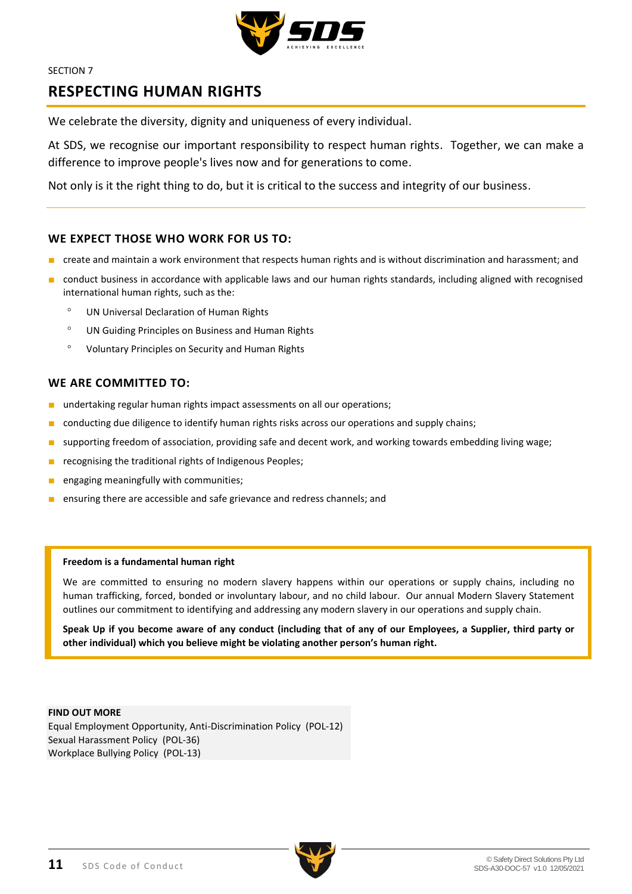

# <span id="page-10-0"></span>**RESPECTING HUMAN RIGHTS**

We celebrate the diversity, dignity and uniqueness of every individual.

At SDS, we recognise our important responsibility to respect human rights. Together, we can make a difference to improve people's lives now and for generations to come.

Not only is it the right thing to do, but it is critical to the success and integrity of our business.

## **WE EXPECT THOSE WHO WORK FOR US TO:**

- create and maintain a work environment that respects human rights and is without discrimination and harassment; and
- conduct business in accordance with applicable laws and our human rights standards, including aligned with recognised international human rights, such as the:
	- UN Universal Declaration of Human Rights
	- UN Guiding Principles on Business and Human Rights
	- Voluntary Principles on Security and Human Rights

## **WE ARE COMMITTED TO:**

- undertaking regular human rights impact assessments on all our operations;
- conducting due diligence to identify human rights risks across our operations and supply chains;
- supporting freedom of association, providing safe and decent work, and working towards embedding living wage;
- recognising the traditional rights of Indigenous Peoples:
- engaging meaningfully with communities;
- ensuring there are accessible and safe grievance and redress channels; and

### **Freedom is a fundamental human right**

We are committed to ensuring no modern slavery happens within our operations or supply chains, including no human trafficking, forced, bonded or involuntary labour, and no child labour. Our annual Modern Slavery Statement outlines our commitment to identifying and addressing any modern slavery in our operations and supply chain.

**Speak Up if you become aware of any conduct (including that of any of our Employees, a Supplier, third party or other individual) which you believe might be violating another person's human right.**

**FIND OUT MORE** Equal Employment Opportunity, Anti-Discrimination Policy (POL-12) Sexual Harassment Policy (POL-36) Workplace Bullying Policy (POL-13)

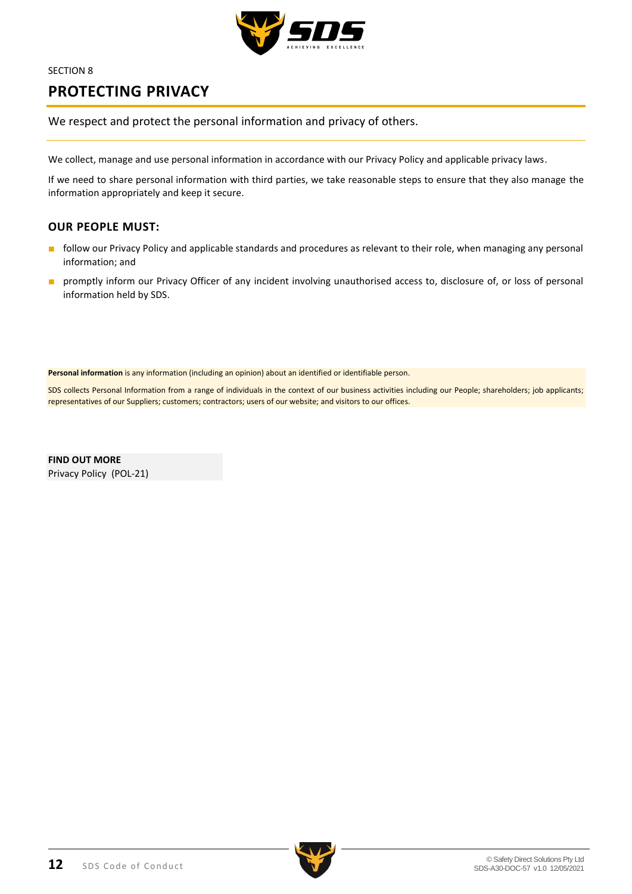

# <span id="page-11-0"></span>**PROTECTING PRIVACY**

We respect and protect the personal information and privacy of others.

We collect, manage and use personal information in accordance with our Privacy Policy and applicable privacy laws.

If we need to share personal information with third parties, we take reasonable steps to ensure that they also manage the information appropriately and keep it secure.

# **OUR PEOPLE MUST:**

- follow our Privacy Policy and applicable standards and procedures as relevant to their role, when managing any personal information; and
- promptly inform our Privacy Officer of any incident involving unauthorised access to, disclosure of, or loss of personal information held by SDS.

**Personal information** is any information (including an opinion) about an identified or identifiable person.

SDS collects Personal Information from a range of individuals in the context of our business activities including our People; shareholders; job applicants; representatives of our Suppliers; customers; contractors; users of our website; and visitors to our offices.

**FIND OUT MORE** Privacy Policy (POL-21)

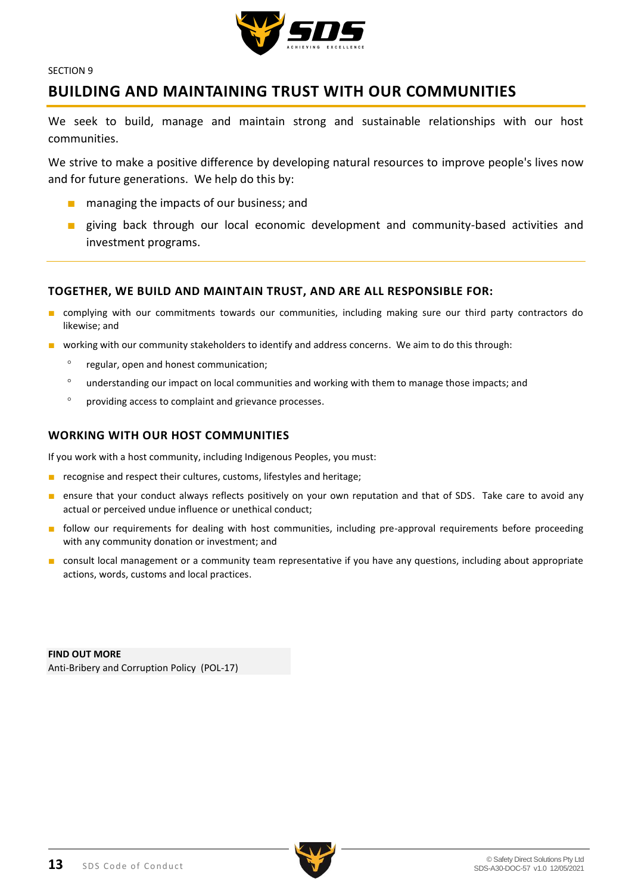

# <span id="page-12-0"></span>**BUILDING AND MAINTAINING TRUST WITH OUR COMMUNITIES**

We seek to build, manage and maintain strong and sustainable relationships with our host communities.

We strive to make a positive difference by developing natural resources to improve people's lives now and for future generations. We help do this by:

- managing the impacts of our business; and
- giving back through our local economic development and community-based activities and investment programs.

## **TOGETHER, WE BUILD AND MAINTAIN TRUST, AND ARE ALL RESPONSIBLE FOR:**

- complying with our commitments towards our communities, including making sure our third party contractors do likewise; and
- working with our community stakeholders to identify and address concerns. We aim to do this through:
	- <sup>o</sup> regular, open and honest communication;
	- understanding our impact on local communities and working with them to manage those impacts; and
	- providing access to complaint and grievance processes.

## **WORKING WITH OUR HOST COMMUNITIES**

If you work with a host community, including Indigenous Peoples, you must:

- recognise and respect their cultures, customs, lifestyles and heritage;
- ensure that your conduct always reflects positively on your own reputation and that of SDS. Take care to avoid any actual or perceived undue influence or unethical conduct;
- follow our requirements for dealing with host communities, including pre-approval requirements before proceeding with any community donation or investment; and
- consult local management or a community team representative if you have any questions, including about appropriate actions, words, customs and local practices.

**FIND OUT MORE** Anti-Bribery and Corruption Policy (POL-17)

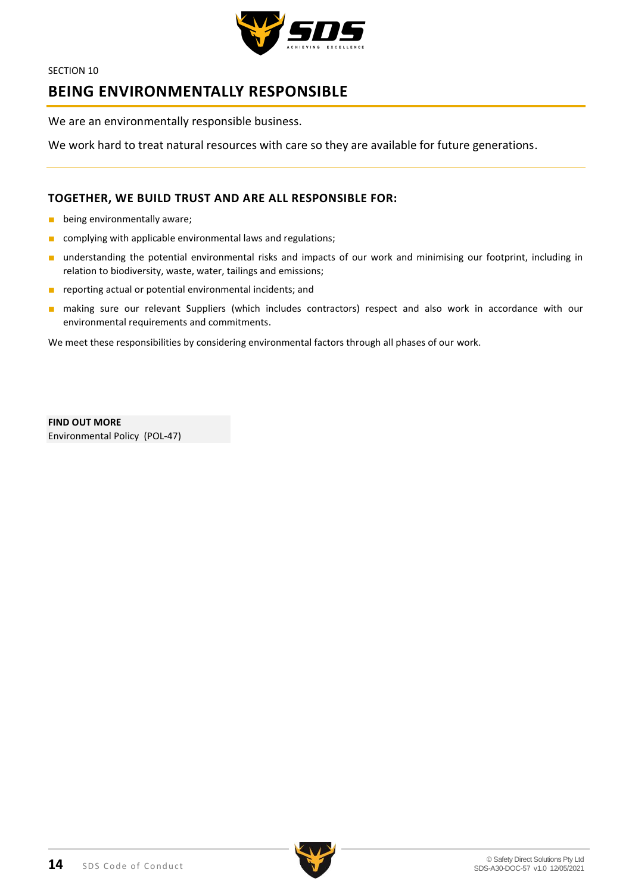

# <span id="page-13-0"></span>**BEING ENVIRONMENTALLY RESPONSIBLE**

We are an environmentally responsible business.

We work hard to treat natural resources with care so they are available for future generations.

# **TOGETHER, WE BUILD TRUST AND ARE ALL RESPONSIBLE FOR:**

- being environmentally aware;
- complying with applicable environmental laws and regulations;
- understanding the potential environmental risks and impacts of our work and minimising our footprint, including in relation to biodiversity, waste, water, tailings and emissions;
- reporting actual or potential environmental incidents; and
- making sure our relevant Suppliers (which includes contractors) respect and also work in accordance with our environmental requirements and commitments.

We meet these responsibilities by considering environmental factors through all phases of our work.

**FIND OUT MORE** Environmental Policy (POL-47)

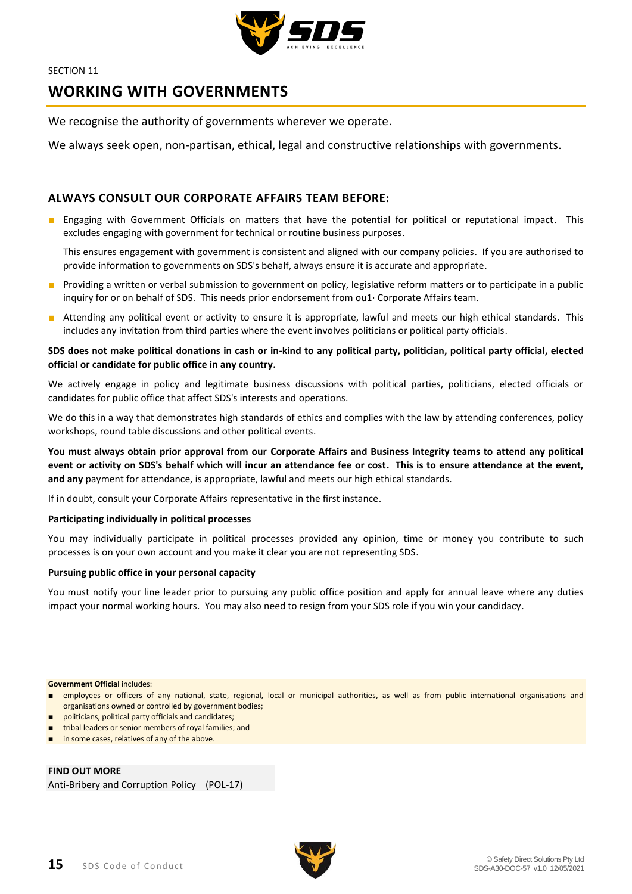

# <span id="page-14-0"></span>**WORKING WITH GOVERNMENTS**

We recognise the authority of governments wherever we operate.

We always seek open, non-partisan, ethical, legal and constructive relationships with governments.

# **ALWAYS CONSULT OUR CORPORATE AFFAIRS TEAM BEFORE:**

■ Engaging with Government Officials on matters that have the potential for political or reputational impact. This excludes engaging with government for technical or routine business purposes.

This ensures engagement with government is consistent and aligned with our company policies. If you are authorised to provide information to governments on SDS's behalf, always ensure it is accurate and appropriate.

- Providing a written or verbal submission to government on policy, legislative reform matters or to participate in a public inquiry for or on behalf of SDS. This needs prior endorsement from ou1· Corporate Affairs team.
- Attending any political event or activity to ensure it is appropriate, lawful and meets our high ethical standards. This includes any invitation from third parties where the event involves politicians or political party officials.

### **SDS does not make political donations in cash or in-kind to any political party, politician, political party official, elected official or candidate for public office in any country.**

We actively engage in policy and legitimate business discussions with political parties, politicians, elected officials or candidates for public office that affect SDS's interests and operations.

We do this in a way that demonstrates high standards of ethics and complies with the law by attending conferences, policy workshops, round table discussions and other political events.

**You must always obtain prior approval from our Corporate Affairs and Business Integrity teams to attend any political event or activity on SDS's behalf which will incur an attendance fee or cost. This is to ensure attendance at the event, and any** payment for attendance, is appropriate, lawful and meets our high ethical standards.

If in doubt, consult your Corporate Affairs representative in the first instance.

### **Participating individually in political processes**

You may individually participate in political processes provided any opinion, time or money you contribute to such processes is on your own account and you make it clear you are not representing SDS.

### **Pursuing public office in your personal capacity**

You must notify your line leader prior to pursuing any public office position and apply for annual leave where any duties impact your normal working hours. You may also need to resign from your SDS role if you win your candidacy.

#### **Government Official** includes:

- employees or officers of any national, state, regional, local or municipal authorities, as well as from public international organisations and organisations owned or controlled by government bodies;
- politicians, political party officials and candidates;
- tribal leaders or senior members of royal families; and
- in some cases, relatives of any of the above.

**FIND OUT MORE**

Anti-Bribery and Corruption Policy (POL-17)

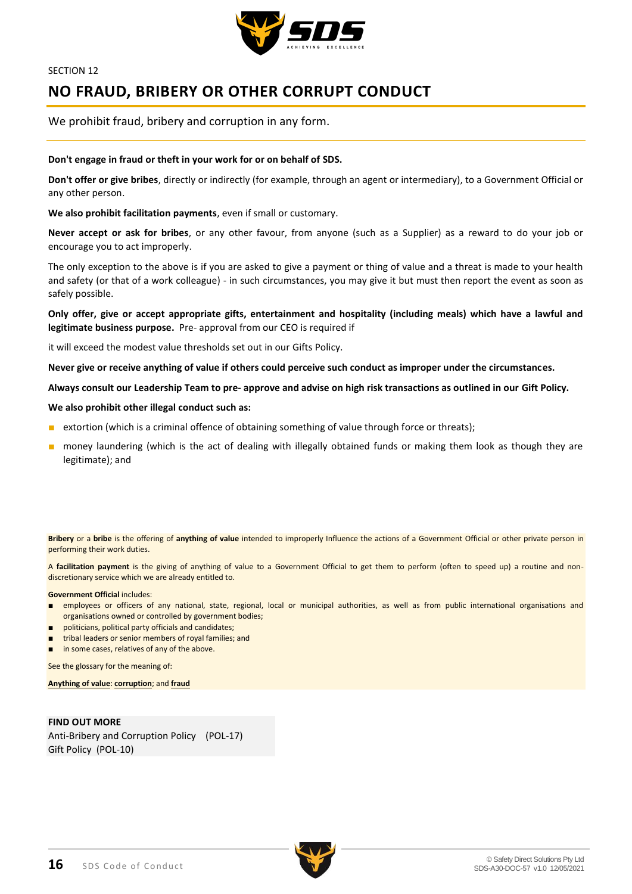

# <span id="page-15-0"></span>**NO FRAUD, BRIBERY OR OTHER CORRUPT CONDUCT**

We prohibit fraud, bribery and corruption in any form.

#### **Don't engage in fraud or theft in your work for or on behalf of SDS.**

**Don't offer or give bribes**, directly or indirectly (for example, through an agent or intermediary), to a Government Official or any other person.

**We also prohibit facilitation payments**, even if small or customary.

**Never accept or ask for bribes**, or any other favour, from anyone (such as a Supplier) as a reward to do your job or encourage you to act improperly.

The only exception to the above is if you are asked to give a payment or thing of value and a threat is made to your health and safety (or that of a work colleague) - in such circumstances, you may give it but must then report the event as soon as safely possible.

**Only offer, give or accept appropriate gifts, entertainment and hospitality (including meals) which have a lawful and legitimate business purpose.** Pre- approval from our CEO is required if

it will exceed the modest value thresholds set out in our Gifts Policy.

**Never give or receive anything of value if others could perceive such conduct as improper under the circumstances.** 

**Always consult our Leadership Team to pre- approve and advise on high risk transactions as outlined in our Gift Policy.** 

#### **We also prohibit other illegal conduct such as:**

- extortion (which is a criminal offence of obtaining something of value through force or threats);
- money laundering (which is the act of dealing with illegally obtained funds or making them look as though they are legitimate); and

**Bribery** or a **bribe** is the offering of **anything of value** intended to improperly Influence the actions of a Government Official or other private person in performing their work duties.

A **facilitation payment** is the giving of anything of value to a Government Official to get them to perform (often to speed up) a routine and nondiscretionary service which we are already entitled to.

#### **Government Official** includes:

- employees or officers of any national, state, regional, local or municipal authorities, as well as from public international organisations and organisations owned or controlled by government bodies;
- politicians, political party officials and candidates;
- tribal leaders or senior members of royal families; and
- in some cases, relatives of any of the above.

See the glossary for the meaning of:

**Anything of value**: **corruption**; and **fraud**

**FIND OUT MORE** Anti-Bribery and Corruption Policy (POL-17) Gift Policy (POL-10)

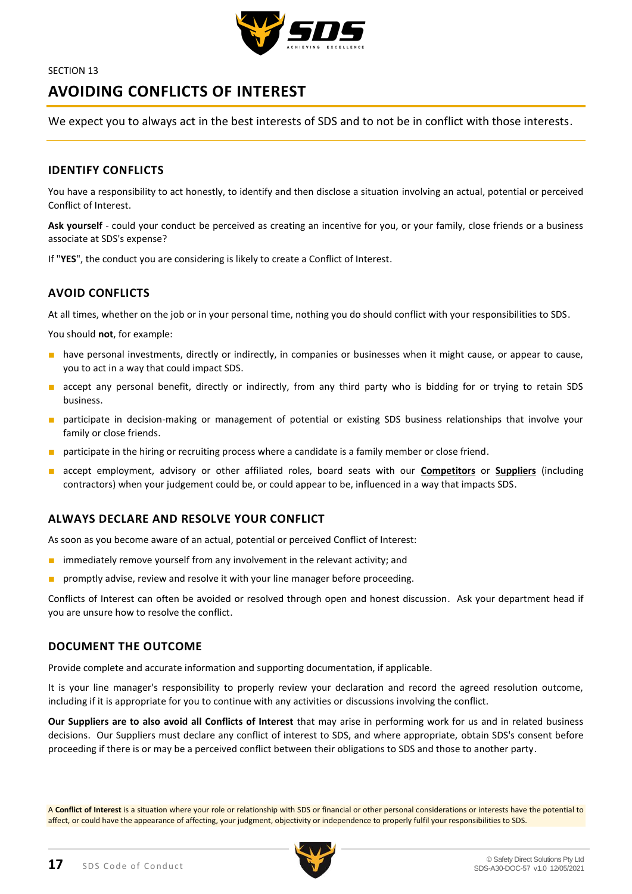

# <span id="page-16-0"></span>**AVOIDING CONFLICTS OF INTEREST**

We expect you to always act in the best interests of SDS and to not be in conflict with those interests.

# **IDENTIFY CONFLICTS**

You have a responsibility to act honestly, to identify and then disclose a situation involving an actual, potential or perceived Conflict of Interest.

**Ask yourself** - could your conduct be perceived as creating an incentive for you, or your family, close friends or a business associate at SDS's expense?

If "**YES**", the conduct you are considering is likely to create a Conflict of Interest.

# **AVOID CONFLICTS**

At all times, whether on the job or in your personal time, nothing you do should conflict with your responsibilities to SDS.

You should **not**, for example:

- have personal investments, directly or indirectly, in companies or businesses when it might cause, or appear to cause, you to act in a way that could impact SDS.
- accept any personal benefit, directly or indirectly, from any third party who is bidding for or trying to retain SDS business.
- participate in decision-making or management of potential or existing SDS business relationships that involve your family or close friends.
- participate in the hiring or recruiting process where a candidate is a family member or close friend.
- accept employment, advisory or other affiliated roles, board seats with our **Competitors** or **Suppliers** (including contractors) when your judgement could be, or could appear to be, influenced in a way that impacts SDS.

# **ALWAYS DECLARE AND RESOLVE YOUR CONFLICT**

As soon as you become aware of an actual, potential or perceived Conflict of Interest:

- immediately remove yourself from any involvement in the relevant activity; and
- promptly advise, review and resolve it with your line manager before proceeding.

Conflicts of Interest can often be avoided or resolved through open and honest discussion. Ask your department head if you are unsure how to resolve the conflict.

### **DOCUMENT THE OUTCOME**

Provide complete and accurate information and supporting documentation, if applicable.

It is your line manager's responsibility to properly review your declaration and record the agreed resolution outcome, including if it is appropriate for you to continue with any activities or discussions involving the conflict.

**Our Suppliers are to also avoid all Conflicts of Interest** that may arise in performing work for us and in related business decisions. Our Suppliers must declare any conflict of interest to SDS, and where appropriate, obtain SDS's consent before proceeding if there is or may be a perceived conflict between their obligations to SDS and those to another party.

A **Conflict of Interest** is a situation where your role or relationship with SDS or financial or other personal considerations or interests have the potential to affect, or could have the appearance of affecting, your judgment, objectivity or independence to properly fulfil your responsibilities to SDS.

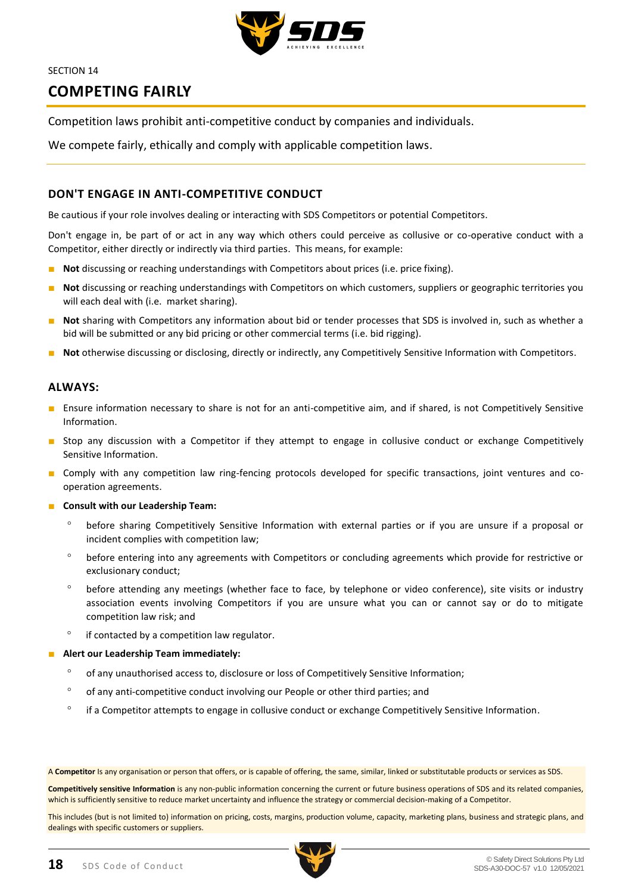

# <span id="page-17-0"></span>**COMPETING FAIRLY**

Competition laws prohibit anti-competitive conduct by companies and individuals.

We compete fairly, ethically and comply with applicable competition laws.

# **DON'T ENGAGE IN ANTI-COMPETITIVE CONDUCT**

Be cautious if your role involves dealing or interacting with SDS Competitors or potential Competitors.

Don't engage in, be part of or act in any way which others could perceive as collusive or co-operative conduct with a Competitor, either directly or indirectly via third parties. This means, for example:

- Not discussing or reaching understandings with Competitors about prices (i.e. price fixing).
- **Not** discussing or reaching understandings with Competitors on which customers, suppliers or geographic territories you will each deal with (i.e. market sharing).
- **Not** sharing with Competitors any information about bid or tender processes that SDS is involved in, such as whether a bid will be submitted or any bid pricing or other commercial terms (i.e. bid rigging).
- **Not** otherwise discussing or disclosing, directly or indirectly, any Competitively Sensitive Information with Competitors.

### **ALWAYS:**

- Ensure information necessary to share is not for an anti-competitive aim, and if shared, is not Competitively Sensitive Information.
- Stop any discussion with a Competitor if they attempt to engage in collusive conduct or exchange Competitively Sensitive Information.
- Comply with any competition law ring-fencing protocols developed for specific transactions, joint ventures and cooperation agreements.
- **Consult with our Leadership Team:**
	- before sharing Competitively Sensitive Information with external parties or if you are unsure if a proposal or incident complies with competition law;
	- before entering into any agreements with Competitors or concluding agreements which provide for restrictive or exclusionary conduct;
	- before attending any meetings (whether face to face, by telephone or video conference), site visits or industry association events involving Competitors if you are unsure what you can or cannot say or do to mitigate competition law risk; and
	- $\degree$  if contacted by a competition law regulator.
- Alert our Leadership Team immediately:
	- of any unauthorised access to, disclosure or loss of Competitively Sensitive Information;
	- of any anti-competitive conduct involving our People or other third parties; and
	- <sup>o</sup> if a Competitor attempts to engage in collusive conduct or exchange Competitively Sensitive Information.

A **Competitor** Is any organisation or person that offers, or is capable of offering, the same, similar, linked or substitutable products or services as SDS.

**Competitively sensitive Information** is any non-public information concerning the current or future business operations of SDS and its related companies, which is sufficiently sensitive to reduce market uncertainty and influence the strategy or commercial decision-making of a Competitor.

This includes (but is not limited to) information on pricing, costs, margins, production volume, capacity, marketing plans, business and strategic plans, and dealings with specific customers or suppliers.

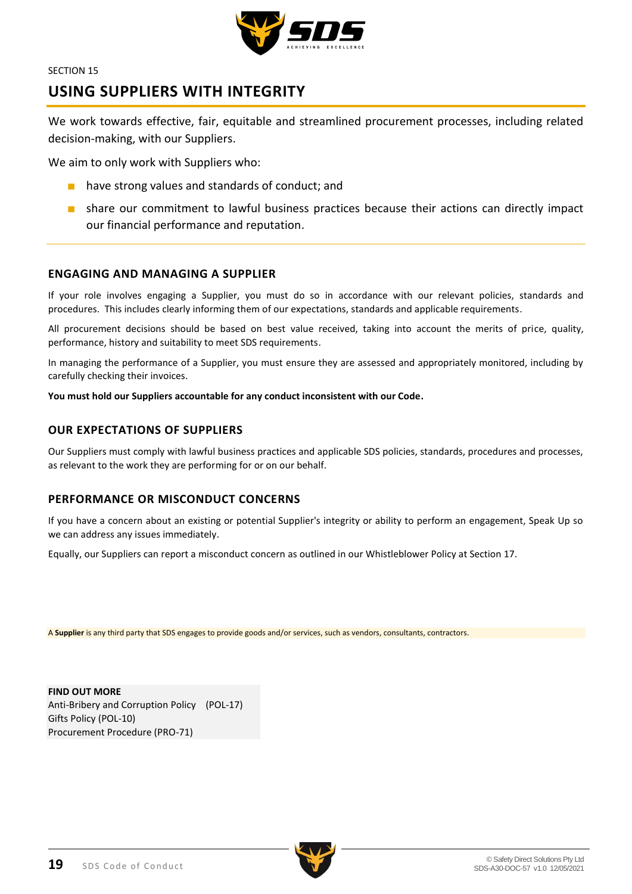

# <span id="page-18-0"></span>**USING SUPPLIERS WITH INTEGRITY**

We work towards effective, fair, equitable and streamlined procurement processes, including related decision-making, with our Suppliers.

We aim to only work with Suppliers who:

- have strong values and standards of conduct; and
- share our commitment to lawful business practices because their actions can directly impact our financial performance and reputation.

# **ENGAGING AND MANAGING A SUPPLIER**

If your role involves engaging a Supplier, you must do so in accordance with our relevant policies, standards and procedures. This includes clearly informing them of our expectations, standards and applicable requirements.

All procurement decisions should be based on best value received, taking into account the merits of price, quality, performance, history and suitability to meet SDS requirements.

In managing the performance of a Supplier, you must ensure they are assessed and appropriately monitored, including by carefully checking their invoices.

**You must hold our Suppliers accountable for any conduct inconsistent with our Code.** 

## **OUR EXPECTATIONS OF SUPPLIERS**

Our Suppliers must comply with lawful business practices and applicable SDS policies, standards, procedures and processes, as relevant to the work they are performing for or on our behalf.

### **PERFORMANCE OR MISCONDUCT CONCERNS**

If you have a concern about an existing or potential Supplier's integrity or ability to perform an engagement, Speak Up so we can address any issues immediately.

Equally, our Suppliers can report a misconduct concern as outlined in our Whistleblower Policy at Section 17.

A **Supplier** is any third party that SDS engages to provide goods and/or services, such as vendors, consultants, contractors.

**FIND OUT MORE** Anti-Bribery and Corruption Policy (POL-17) Gifts Policy (POL-10) Procurement Procedure (PRO-71)

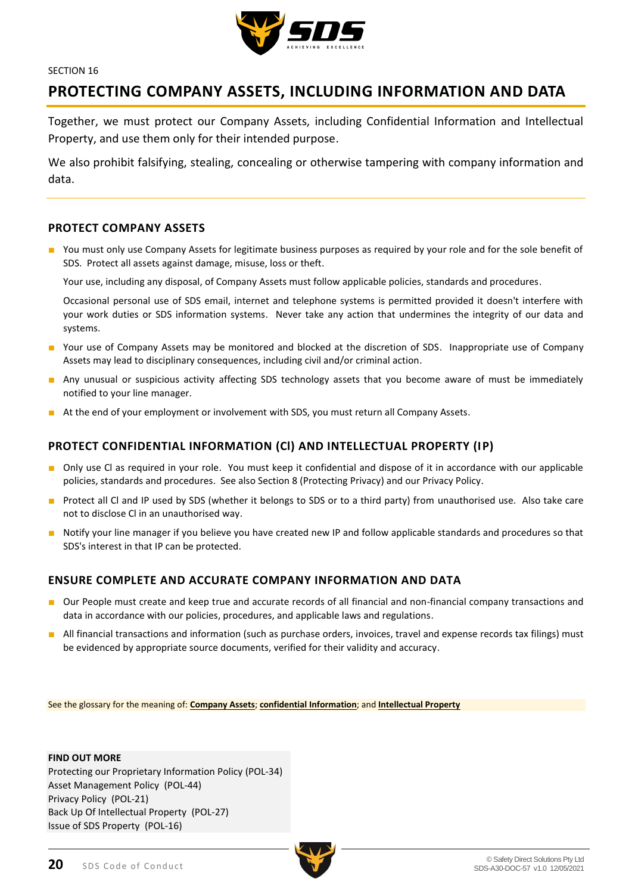

# <span id="page-19-0"></span>**PROTECTING COMPANY ASSETS, INCLUDING INFORMATION AND DATA**

Together, we must protect our Company Assets, including Confidential Information and Intellectual Property, and use them only for their intended purpose.

We also prohibit falsifying, stealing, concealing or otherwise tampering with company information and data.

# **PROTECT COMPANY ASSETS**

■ You must only use Company Assets for legitimate business purposes as required by your role and for the sole benefit of SDS. Protect all assets against damage, misuse, loss or theft.

Your use, including any disposal, of Company Assets must follow applicable policies, standards and procedures.

Occasional personal use of SDS email, internet and telephone systems is permitted provided it doesn't interfere with your work duties or SDS information systems. Never take any action that undermines the integrity of our data and systems.

- Your use of Company Assets may be monitored and blocked at the discretion of SDS. Inappropriate use of Company Assets may lead to disciplinary consequences, including civil and/or criminal action.
- Any unusual or suspicious activity affecting SDS technology assets that you become aware of must be immediately notified to your line manager.
- At the end of your employment or involvement with SDS, you must return all Company Assets.

# **PROTECT CONFIDENTIAL INFORMATION (Cl) AND INTELLECTUAL PROPERTY (IP)**

- Only use Cl as required in your role. You must keep it confidential and dispose of it in accordance with our applicable policies, standards and procedures. See also Section 8 (Protecting Privacy) and our Privacy Policy.
- Protect all Cl and IP used by SDS (whether it belongs to SDS or to a third party) from unauthorised use. Also take care not to disclose Cl in an unauthorised way.
- Notify your line manager if you believe you have created new IP and follow applicable standards and procedures so that SDS's interest in that IP can be protected.

### **ENSURE COMPLETE AND ACCURATE COMPANY INFORMATION AND DATA**

- Our People must create and keep true and accurate records of all financial and non-financial company transactions and data in accordance with our policies, procedures, and applicable laws and regulations.
- All financial transactions and information (such as purchase orders, invoices, travel and expense records tax filings) must be evidenced by appropriate source documents, verified for their validity and accuracy.

See the glossary for the meaning of: **Company Assets**; **confidential Information**; and **Intellectual Property**

#### **FIND OUT MORE**

Protecting our Proprietary Information Policy (POL-34) Asset Management Policy (POL-44) Privacy Policy (POL-21) Back Up Of Intellectual Property (POL-27) Issue of SDS Property (POL-16)

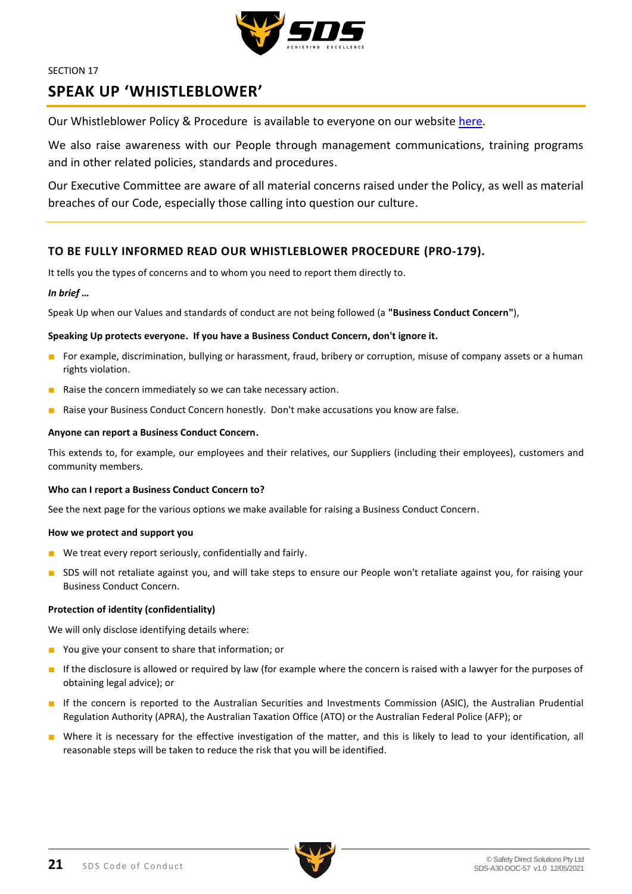

# <span id="page-20-0"></span>**SPEAK UP 'WHISTLEBLOWER'**

Our Whistleblower Policy & Procedure is available to everyone on our website [here.](http://www.sdsaus.com.au/)

We also raise awareness with our People through management communications, training programs and in other related policies, standards and procedures.

Our Executive Committee are aware of all material concerns raised under the Policy, as well as material breaches of our Code, especially those calling into question our culture.

## **TO BE FULLY INFORMED READ OUR WHISTLEBLOWER PROCEDURE (PRO-179).**

It tells you the types of concerns and to whom you need to report them directly to.

### *In brief …*

Speak Up when our Values and standards of conduct are not being followed (a **"Business Conduct Concern"**),

#### **Speaking Up protects everyone. If you have a Business Conduct Concern, don't ignore it.**

- For example, discrimination, bullying or harassment, fraud, bribery or corruption, misuse of company assets or a human rights violation.
- Raise the concern immediately so we can take necessary action.
- Raise your Business Conduct Concern honestly. Don't make accusations you know are false.

#### **Anyone can report a Business Conduct Concern.**

This extends to, for example, our employees and their relatives, our Suppliers (including their employees), customers and community members.

#### **Who can I report a Business Conduct Concern to?**

See the next page for the various options we make available for raising a Business Conduct Concern.

#### **How we protect and support you**

- We treat every report seriously, confidentially and fairly.
- SDS will not retaliate against you, and will take steps to ensure our People won't retaliate against you, for raising your Business Conduct Concern.

### **Protection of identity (confidentiality)**

We will only disclose identifying details where:

- You give your consent to share that information; or
- If the disclosure is allowed or required by law (for example where the concern is raised with a lawyer for the purposes of obtaining legal advice); or
- If the concern is reported to the Australian Securities and Investments Commission (ASIC), the Australian Prudential Regulation Authority (APRA), the Australian Taxation Office (ATO) or the Australian Federal Police (AFP); or
- Where it is necessary for the effective investigation of the matter, and this is likely to lead to your identification, all reasonable steps will be taken to reduce the risk that you will be identified.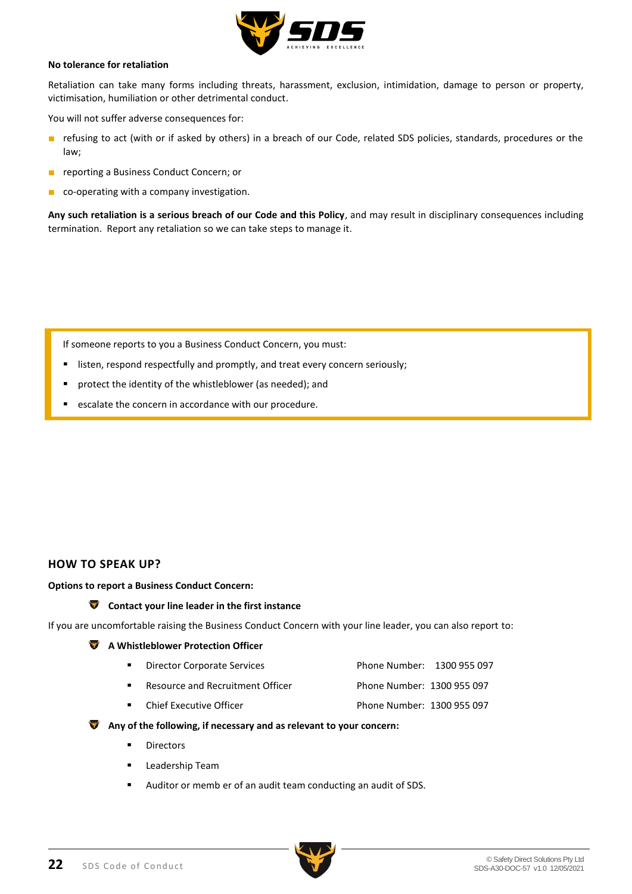

### **No tolerance for retaliation**

Retaliation can take many forms including threats, harassment, exclusion, intimidation, damage to person or property, victimisation, humiliation or other detrimental conduct.

You will not suffer adverse consequences for:

- refusing to act (with or if asked by others) in a breach of our Code, related SDS policies, standards, procedures or the law;
- reporting a Business Conduct Concern; or
- co-operating with a company investigation.

**Any such retaliation is a serious breach of our Code and this Policy**, and may result in disciplinary consequences including termination. Report any retaliation so we can take steps to manage it.

If someone reports to you a Business Conduct Concern, you must:

- listen, respond respectfully and promptly, and treat every concern seriously;
- protect the identity of the whistleblower (as needed); and
- escalate the concern in accordance with our procedure.

### **HOW TO SPEAK UP?**

#### **Options to report a Business Conduct Concern:**

#### **Contact your line leader in the first instance**

If you are uncomfortable raising the Business Conduct Concern with your line leader, you can also report to:

#### **A Whistleblower Protection Officer**

- **Director Corporate Services** Phone Number: 1300 955 097
- Resource and Recruitment Officer Phone Number: 1300 955 097
- Chief Executive Officer Phone Number: 1300 955 097

### **Any of the following, if necessary and as relevant to your concern:**

- **Directors**
- Leadership Team
- Auditor or memb er of an audit team conducting an audit of SDS.

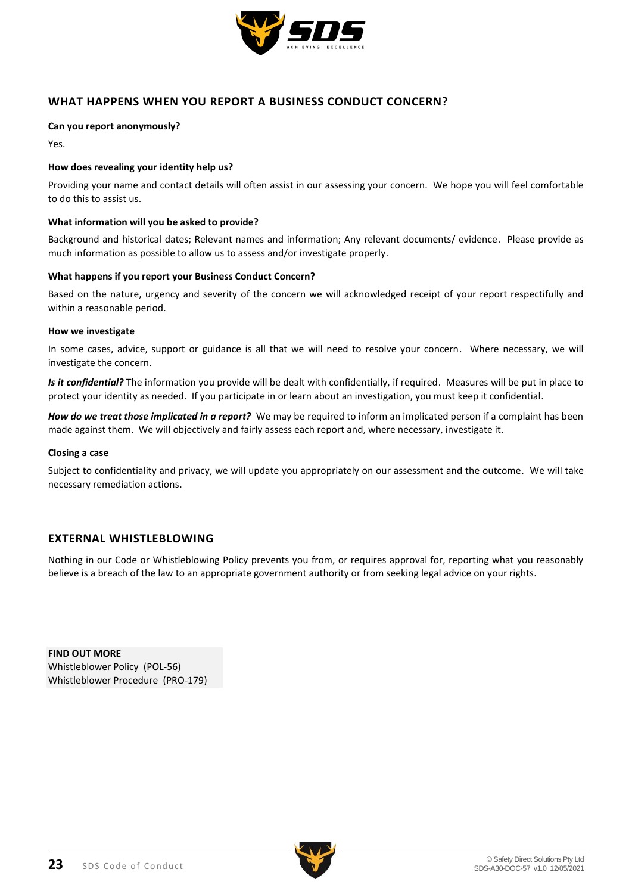

# **WHAT HAPPENS WHEN YOU REPORT A BUSINESS CONDUCT CONCERN?**

### **Can you report anonymously?**

Yes.

### **How does revealing your identity help us?**

Providing your name and contact details will often assist in our assessing your concern. We hope you will feel comfortable to do this to assist us.

### **What information will you be asked to provide?**

Background and historical dates; Relevant names and information; Any relevant documents/ evidence. Please provide as much information as possible to allow us to assess and/or investigate properly.

### **What happens if you report your Business Conduct Concern?**

Based on the nature, urgency and severity of the concern we will acknowledged receipt of your report respectifully and within a reasonable period.

#### **How we investigate**

In some cases, advice, support or guidance is all that we will need to resolve your concern. Where necessary, we will investigate the concern.

*Is it confidential?* The information you provide will be dealt with confidentially, if required. Measures will be put in place to protect your identity as needed. If you participate in or learn about an investigation, you must keep it confidential.

*How do we treat those implicated in a report?* We may be required to inform an implicated person if a complaint has been made against them. We will objectively and fairly assess each report and, where necessary, investigate it.

### **Closing a case**

Subject to confidentiality and privacy, we will update you appropriately on our assessment and the outcome. We will take necessary remediation actions.

### **EXTERNAL WHISTLEBLOWING**

Nothing in our Code or Whistleblowing Policy prevents you from, or requires approval for, reporting what you reasonably believe is a breach of the law to an appropriate government authority or from seeking legal advice on your rights.

**FIND OUT MORE** Whistleblower Policy (POL-56) Whistleblower Procedure (PRO-179)

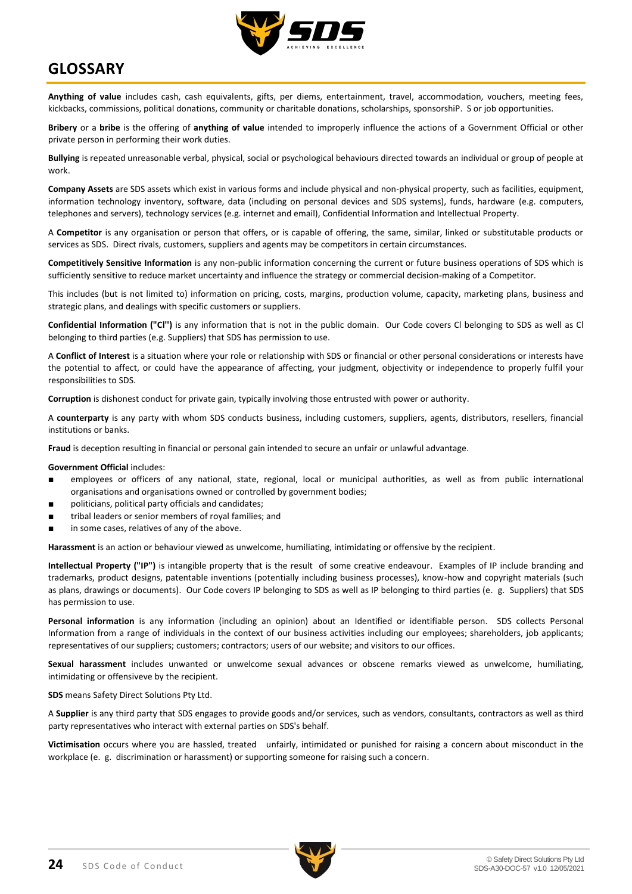

# <span id="page-23-0"></span>**GLOSSARY**

**Anything of value** includes cash, cash equivalents, gifts, per diems, entertainment, travel, accommodation, vouchers, meeting fees, kickbacks, commissions, political donations, community or charitable donations, scholarships, sponsorshiP. S or job opportunities.

**Bribery** or a **bribe** is the offering of **anything of value** intended to improperly influence the actions of a Government Official or other private person in performing their work duties.

**Bullying** is repeated unreasonable verbal, physical, social or psychological behaviours directed towards an individual or group of people at work.

**Company Assets** are SDS assets which exist in various forms and include physical and non-physical property, such as facilities, equipment, information technology inventory, software, data (including on personal devices and SDS systems), funds, hardware (e.g. computers, telephones and servers), technology services (e.g. internet and email), Confidential Information and Intellectual Property.

A **Competitor** is any organisation or person that offers, or is capable of offering, the same, similar, linked or substitutable products or services as SDS. Direct rivals, customers, suppliers and agents may be competitors in certain circumstances.

**Competitively Sensitive Information** is any non-public information concerning the current or future business operations of SDS which is sufficiently sensitive to reduce market uncertainty and influence the strategy or commercial decision-making of a Competitor.

This includes (but is not limited to) information on pricing, costs, margins, production volume, capacity, marketing plans, business and strategic plans, and dealings with specific customers or suppliers.

**Confidential Information ("Cl'')** is any information that is not in the public domain. Our Code covers Cl belonging to SDS as well as Cl belonging to third parties (e.g. Suppliers) that SDS has permission to use.

A **Conflict of Interest** is a situation where your role or relationship with SDS or financial or other personal considerations or interests have the potential to affect, or could have the appearance of affecting, your judgment, objectivity or independence to properly fulfil your responsibilities to SDS.

**Corruption** is dishonest conduct for private gain, typically involving those entrusted with power or authority.

A **counterparty** is any party with whom SDS conducts business, including customers, suppliers, agents, distributors, resellers, financial institutions or banks.

**Fraud** is deception resulting in financial or personal gain intended to secure an unfair or unlawful advantage.

#### **Government Official** includes:

- employees or officers of any national, state, regional, local or municipal authorities, as well as from public international organisations and organisations owned or controlled by government bodies;
- politicians, political party officials and candidates;
- tribal leaders or senior members of royal families; and
- in some cases, relatives of any of the above.

**Harassment** is an action or behaviour viewed as unwelcome, humiliating, intimidating or offensive by the recipient.

**Intellectual Property ("IP")** is intangible property that is the result of some creative endeavour. Examples of IP include branding and trademarks, product designs, patentable inventions (potentially including business processes), know-how and copyright materials (such as plans, drawings or documents). Our Code covers IP belonging to SDS as well as IP belonging to third parties (e. g. Suppliers) that SDS has permission to use.

**Personal information** is any information (including an opinion) about an Identified or identifiable person. SDS collects Personal Information from a range of individuals in the context of our business activities including our employees; shareholders, job applicants; representatives of our suppliers; customers; contractors; users of our website; and visitors to our offices.

**Sexual harassment** includes unwanted or unwelcome sexual advances or obscene remarks viewed as unwelcome, humiliating, intimidating or offensiveve by the recipient.

**SDS** means Safety Direct Solutions Pty Ltd.

A **Supplier** is any third party that SDS engages to provide goods and/or services, such as vendors, consultants, contractors as well as third party representatives who interact with external parties on SDS's behalf.

**Victimisation** occurs where you are hassled, treated unfairly, intimidated or punished for raising a concern about misconduct in the workplace (e. g. discrimination or harassment) or supporting someone for raising such a concern.